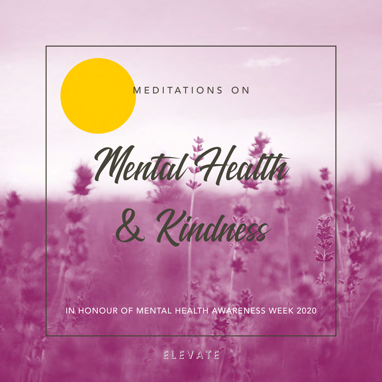

### ELEVATE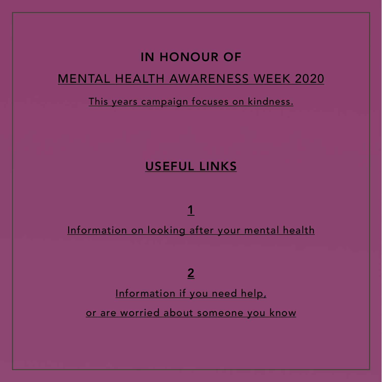### IN HONOUR OF MENTAL HEALTH AWARENESS WEEK 2020

#### This years campaign focuses on kindness.

### USEFUL LINKS

Information on looking after your mental health

1

2

Information if you need help,

or are worried about someone you know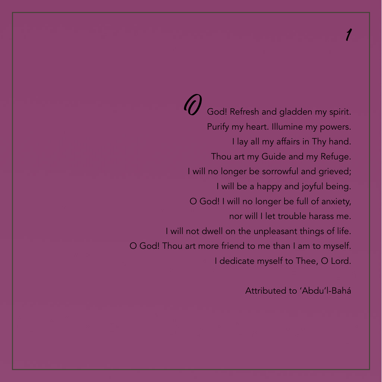<span id="page-2-0"></span>God! Refresh and gladden my spirit. Purify my heart. Illumine my powers. I lay all my affairs in Thy hand. Thou art my Guide and my Refuge. I will no longer be sorrowful and grieved; I will be a happy and joyful being. O God! I will no longer be full of anxiety, nor will I let trouble harass me. I will not dwell on the unpleasant things of life. O God! Thou art more friend to me than I am to myself. I dedicate myself to Thee, O Lord.

Attributed to 'Abdu'l-Bahá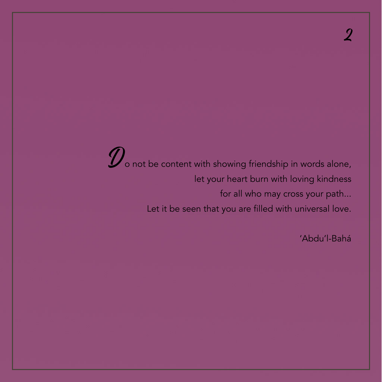## [2](#page-17-0)

<span id="page-3-0"></span>

Do not be content with showing friendship in words alone, let your heart burn with loving kindness for all who may cross your path... Let it be seen that you are filled with universal love.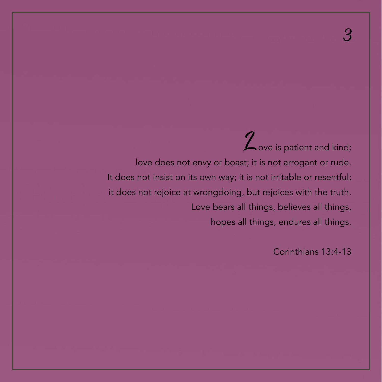<span id="page-4-0"></span>Z ove is patient and kind; love does not envy or boast; it is not arrogant or rude. It does not insist on its own way; it is not irritable or resentful; it does not rejoice at wrongdoing, but rejoices with the truth. Love bears all things, believes all things, hopes all things, endures all things.

Corinthians 13:4-13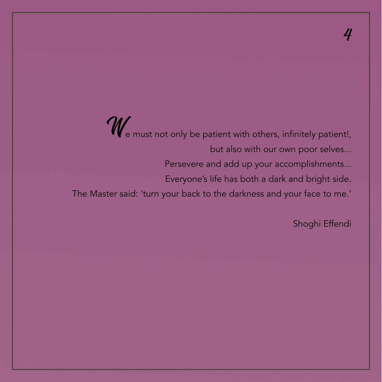<span id="page-5-0"></span>We must not only be patient with others, infinitely patient!, but also with our own poor selves... Persevere and add up your accomplishments... Everyone's life has both a dark and bright side. The Master said: 'turn your back to the darkness and your face to me.'

Shoghi Effendi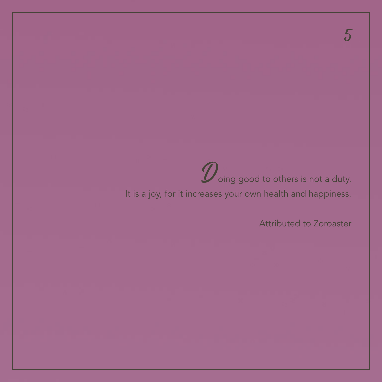# $\mathcal D$  oing good to others is not a duty.

#### <span id="page-6-0"></span>It is a joy, for it increases your own health and happiness.

Attributed to Zoroaster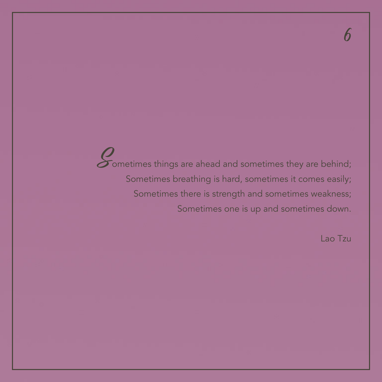<span id="page-7-0"></span>Sometimes things are ahead and sometimes they are behind; Sometimes breathing is hard, sometimes it comes easily; Sometimes there is strength and sometimes weakness; Sometimes one is up and sometimes down.

Lao Tzu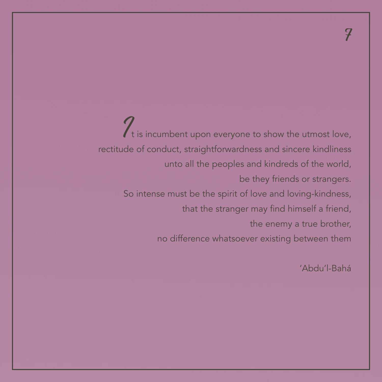<span id="page-8-0"></span>It is incumbent upon everyone to show the utmost love, rectitude of conduct, straightforwardness and sincere kindliness unto all the peoples and kindreds of the world, be they friends or strangers. So intense must be the spirit of love and loving-kindness, that the stranger may find himself a friend, the enemy a true brother, no difference whatsoever existing between them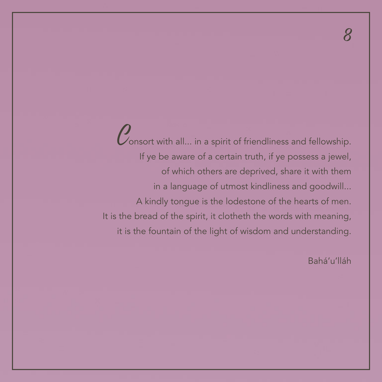<span id="page-9-0"></span>Consort with all... in a spirit of friendliness and fellowship. If ye be aware of a certain truth, if ye possess a jewel, of which others are deprived, share it with them in a language of utmost kindliness and goodwill... A kindly tongue is the lodestone of the hearts of men. It is the bread of the spirit, it clotheth the words with meaning, it is the fountain of the light of wisdom and understanding.

Bahá'u'lláh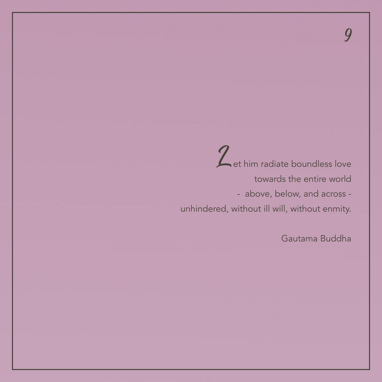<span id="page-10-0"></span>Zet him radiate boundless love towards the entire world - above, below, and across unhindered, without ill will, without enmity.

Gautama Buddha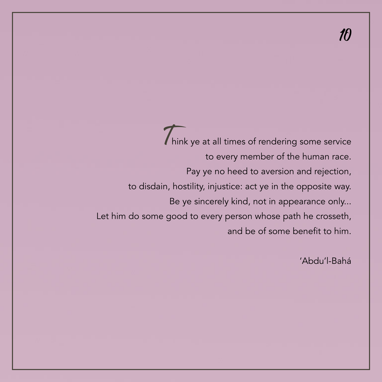<span id="page-11-0"></span>Think ye at all times of rendering some service to every member of the human race. Pay ye no heed to aversion and rejection, to disdain, hostility, injustice: act ye in the opposite way. Be ye sincerely kind, not in appearance only... Let him do some good to every person whose path he crosseth, and be of some benefit to him.

'Abdu'l-Bahá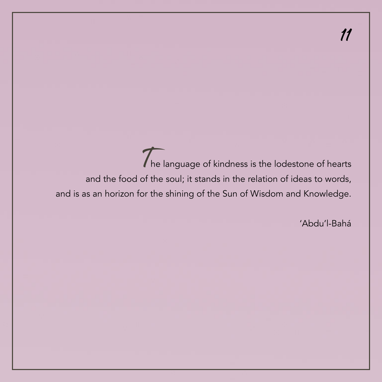<span id="page-12-0"></span>The language of kindness is the lodestone of hearts and the food of the soul; it stands in the relation of ideas to words, and is as an horizon for the shining of the Sun of Wisdom and Knowledge.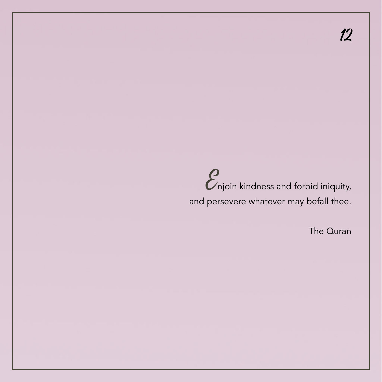$12$ 

# <span id="page-13-0"></span>*C*<br>
njoin kindness and forbid iniquity, and persevere whatever may befall thee.

The Quran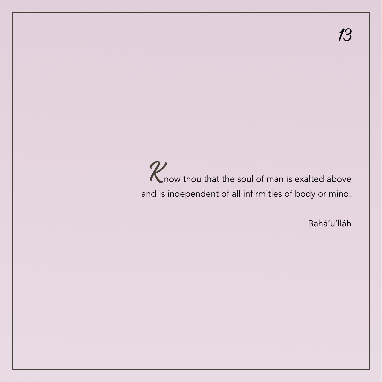<span id="page-14-0"></span>R now thou that the soul of man is exalted above and is independent of all infirmities of body or mind.

Bahá'u'lláh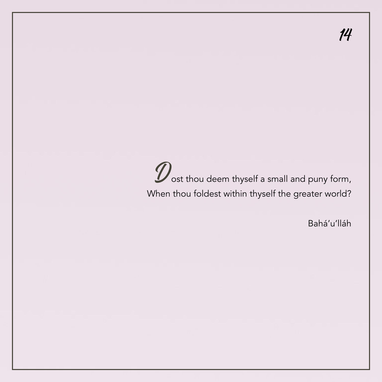<span id="page-15-0"></span>Dost thou deem thyself a small and puny form, When thou foldest within thyself the greater world?

Bahá'u'lláh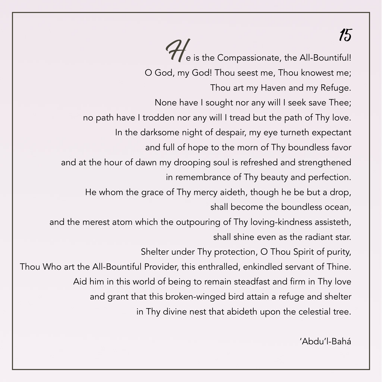### [15](#page-17-0)

<span id="page-16-0"></span>He is the Compassionate, the All-Bountiful! O God, my God! Thou seest me, Thou knowest me; Thou art my Haven and my Refuge. None have I sought nor any will I seek save Thee; no path have I trodden nor any will I tread but the path of Thy love. In the darksome night of despair, my eye turneth expectant and full of hope to the morn of Thy boundless favor and at the hour of dawn my drooping soul is refreshed and strengthened in remembrance of Thy beauty and perfection. He whom the grace of Thy mercy aideth, though he be but a drop, shall become the boundless ocean, and the merest atom which the outpouring of Thy loving-kindness assisteth, shall shine even as the radiant star. Shelter under Thy protection, O Thou Spirit of purity, Thou Who art the All-Bountiful Provider, this enthralled, enkindled servant of Thine. Aid him in this world of being to remain steadfast and firm in Thy love and grant that this broken-winged bird attain a refuge and shelter in Thy divine nest that abideth upon the celestial tree.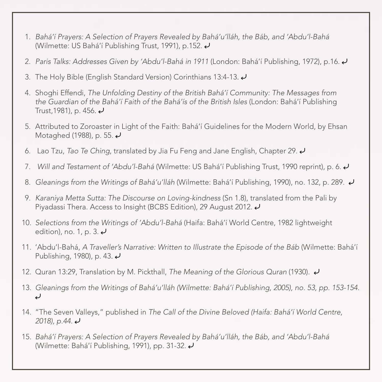- <span id="page-17-0"></span>1. *[Bahá'í Prayers: A Selection of Prayers Revealed by Bahá'u'lláh, the Báb, and 'Abdu'l-Bahá](https://reference.bahai.org/en/t/c/BP/bp-127.html)*  [\(Wilmette: US Bahá'í Publishing Trust, 1991\), p.152.](https://reference.bahai.org/en/t/c/BP/bp-127.html) [⤶](#page-2-0)
- 2. [Paris Talks: Addresses Given by 'Abdu'l-Bahá in 1911](http://www.bahai.org/r/246051385) (London: Bahá'í Publishing, 1972), p.16.  $\leftrightarrow$
- 3. The Holy Bible (English Standard Version) Corinthians 13:4-13.  $\blacktriangleleft$
- 4. Shoghi Effendi, *[The Unfolding Destiny of the British Bahá'í Community: The Messages from](https://reference.bahai.org/en/t/se/UD/ud-624.html)  [the Guardian of the Bahá'í Faith of the Bahá'ís of the British Isles](https://reference.bahai.org/en/t/se/UD/ud-624.html)* (London: Bahá'í Publishing Trust, 1981), p. 456.  $\epsilon$
- 5. Attributed to Zoroaster in Light of the Faith: Bahá'í Guidelines for the Modern World, by Ehsan Motaghed (1988), p. 55.  $\rightarrow$
- 6. Lao Tzu, *Tao Te Ching*, translated by Jia Fu Feng and Jane English, Chapter 29. [⤶](#page-7-0)
- 7. *Will and Testament of 'Abdu'l-Bahá* [\(Wilmette: US Bahá'í Publishing Trust, 1990 reprint\), p. 6.](https://reference.bahai.org/en/t/ab/WT/wt-1.html) [⤶](#page-8-0)
- 8. *Gleanings from the Writings of Bahá'u'lláh* [\(Wilmette: Bahá'í Publishing, 1990\), no. 132, p. 289.](http://www.bahai.org/r/722589456) *J*
- 9. *Karaniya Metta Sutta: The Discourse on Loving-kindness* (Sn 1.8), translated from the Pali by Piyadassi Thera. Access to Insight (BCBS Edition), 29 August 2012.  $\rightarrow$
- 10. *Selections from the Writings of 'Abdu'l-Bahá* [\(Haifa: Bahá'í World Centre, 1982 lightweight](http://www.bahai.org/r/159531595)  [edition\), no. 1, p. 3.](http://www.bahai.org/r/159531595)  $\epsilon$
- 11. 'Abdu'l-Bahá, *[A Traveller's Narrative: Written to Illustrate the Episode of the Báb](http://www.bahai.org/r/377670931)* (Wilmette: Bahá'í Publishing, 1980), p. 43.
- 12. Quran 13:29, Translation by M. Pickthall, *The Meaning of the Glorious Quran* (1930).  $\leftrightarrow$
- 13. *[Gleanings from the Writings of Bahá'u'lláh \(Wilmette: Bahá'í Publishing, 2005\), no. 53, pp. 153-154.](http://www.bahai.org/r/240578767)*  $\overline{U}$
- 14. "The Seven Valleys," published in *[The Call of the Divine Beloved \(Haifa: Bahá'í World Centre,](http://www.bahai.org/r/670295484)  [2018\), p.44.](http://www.bahai.org/r/670295484)* [⤶](#page-15-0)
- 15. *[Bahá'í Prayers: A Selection of Prayers Revealed by Bahá'u'lláh, the Báb, and 'Abdu'l-Bahá](https://reference.bahai.org/en/t/c/BP/bp-22.html)*  [\(Wilmette: Bahá'í Publishing, 1991\), pp. 31-32.](https://reference.bahai.org/en/t/c/BP/bp-22.html) [⤶](#page-16-0)